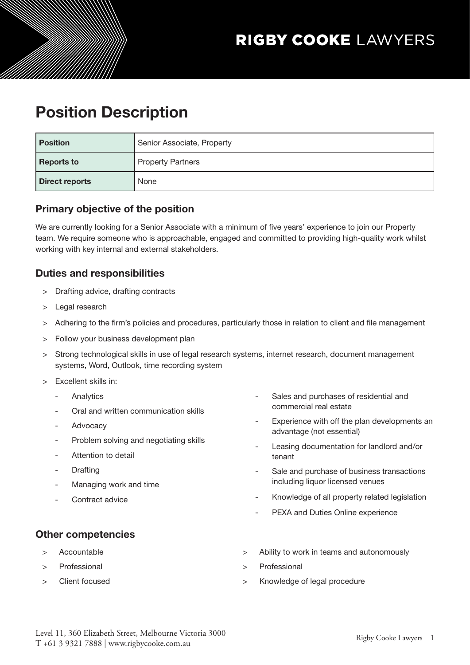# Position Description

| <b>Position</b>   | Senior Associate, Property |
|-------------------|----------------------------|
| <b>Reports to</b> | <b>Property Partners</b>   |
| Direct reports    | None                       |

# Primary objective of the position

We are currently looking for a Senior Associate with a minimum of five years' experience to join our Property team. We require someone who is approachable, engaged and committed to providing high-quality work whilst working with key internal and external stakeholders.

# Duties and responsibilities

- Drafting advice, drafting contracts
- > Legal research
- > Adhering to the firm's policies and procedures, particularly those in relation to client and file management
- > Follow your business development plan
- > Strong technological skills in use of legal research systems, internet research, document management systems, Word, Outlook, time recording system
- > Excellent skills in:
	- Analytics
	- Oral and written communication skills
	- **Advocacy**
	- Problem solving and negotiating skills
	- Attention to detail
	- **Drafting**
	- Managing work and time
	- Contract advice
- Sales and purchases of residential and commercial real estate
- Experience with off the plan developments an advantage (not essential)
- Leasing documentation for landlord and/or tenant
- Sale and purchase of business transactions including liquor licensed venues
- Knowledge of all property related legislation
- PEXA and Duties Online experience

## Other competencies

- **Accountable**
- > Professional
- > Client focused
- > Ability to work in teams and autonomously
- > Professional
- > Knowledge of legal procedure